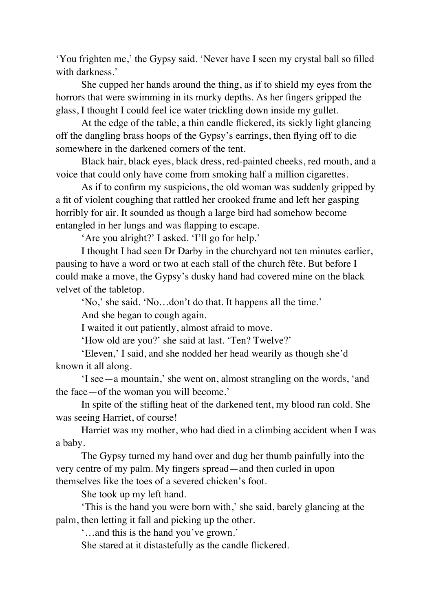'You frighten me,' the Gypsy said. 'Never have I seen my crystal ball so filled with darkness.'

She cupped her hands around the thing, as if to shield my eyes from the horrors that were swimming in its murky depths. As her fingers gripped the glass, I thought I could feel ice water trickling down inside my gullet.

At the edge of the table, a thin candle flickered, its sickly light glancing off the dangling brass hoops of the Gypsy's earrings, then flying off to die somewhere in the darkened corners of the tent.

Black hair, black eyes, black dress, red-painted cheeks, red mouth, and a voice that could only have come from smoking half a million cigarettes.

As if to confirm my suspicions, the old woman was suddenly gripped by a fit of violent coughing that rattled her crooked frame and left her gasping horribly for air. It sounded as though a large bird had somehow become entangled in her lungs and was flapping to escape.

'Are you alright?' I asked. 'I'll go for help.'

I thought I had seen Dr Darby in the churchyard not ten minutes earlier, pausing to have a word or two at each stall of the church fête. But before I could make a move, the Gypsy's dusky hand had covered mine on the black velvet of the tabletop.

'No,' she said. 'No…don't do that. It happens all the time.'

And she began to cough again.

I waited it out patiently, almost afraid to move.

'How old are you?' she said at last. 'Ten? Twelve?'

'Eleven,' I said, and she nodded her head wearily as though she'd known it all along.

'I see—a mountain,' she went on, almost strangling on the words, 'and the face—of the woman you will become.'

In spite of the stifling heat of the darkened tent, my blood ran cold. She was seeing Harriet, of course!

Harriet was my mother, who had died in a climbing accident when I was a baby.

The Gypsy turned my hand over and dug her thumb painfully into the very centre of my palm. My fingers spread—and then curled in upon themselves like the toes of a severed chicken's foot.

She took up my left hand.

'This is the hand you were born with,' she said, barely glancing at the palm, then letting it fall and picking up the other.

'…and this is the hand you've grown.'

She stared at it distastefully as the candle flickered.